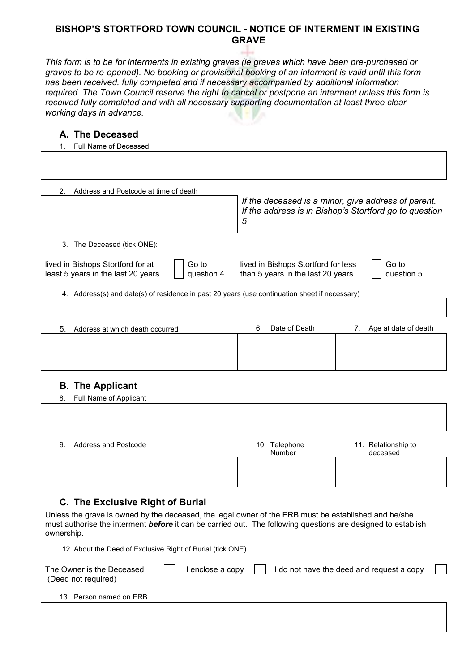## **BISHOP'S STORTFORD TOWN COUNCIL - NOTICE OF INTERMENT IN EXISTING GRAVE**

*This form is to be for interments in existing graves (ie graves which have been pre-purchased or graves to be re-opened). No booking or provisional booking of an interment is valid until this form has been received, fully completed and if necessary accompanied by additional information required. The Town Council reserve the right to cancel or postpone an interment unless this form is received fully completed and with all necessary supporting documentation at least three clear working days in advance.* 

#### **A. The Deceased**

| Full Name of Deceased                                                                          |                                                                                                                    |
|------------------------------------------------------------------------------------------------|--------------------------------------------------------------------------------------------------------------------|
|                                                                                                |                                                                                                                    |
| Address and Postcode at time of death<br>2.                                                    |                                                                                                                    |
|                                                                                                | If the deceased is a minor, give address of parent.<br>If the address is in Bishop's Stortford go to question<br>5 |
| The Deceased (tick ONE):<br>3.                                                                 |                                                                                                                    |
| Go to<br>lived in Bishops Stortford for at<br>question 4<br>least 5 years in the last 20 years | Go to<br>lived in Bishops Stortford for less<br>than 5 years in the last 20 years<br>question 5                    |
| 4. Address(s) and date(s) of residence in past 20 years (use continuation sheet if necessary)  |                                                                                                                    |
|                                                                                                |                                                                                                                    |
| 5.<br>Address at which death occurred                                                          | Date of Death<br>Age at date of death<br>6.<br>7.                                                                  |
|                                                                                                |                                                                                                                    |

### **B. The Applicant**

|    | 8. Full Name of Applicant   |               |                     |
|----|-----------------------------|---------------|---------------------|
|    |                             |               |                     |
|    |                             |               |                     |
|    |                             |               |                     |
| 9. | <b>Address and Postcode</b> | 10. Telephone | 11. Relationship to |
|    |                             | Number        | deceased            |
|    |                             |               |                     |
|    |                             |               |                     |
|    |                             |               |                     |

### **C. The Exclusive Right of Burial**

Unless the grave is owned by the deceased, the legal owner of the ERB must be established and he/she must authorise the interment *before* it can be carried out. The following questions are designed to establish ownership.

12. About the Deed of Exclusive Right of Burial (tick ONE)

| The Owner is the Deceased<br>(Deed not required) | enclose a copy | I do not have the deed and request a copy |  |
|--------------------------------------------------|----------------|-------------------------------------------|--|
| 13. Person named on ERB                          |                |                                           |  |
|                                                  |                |                                           |  |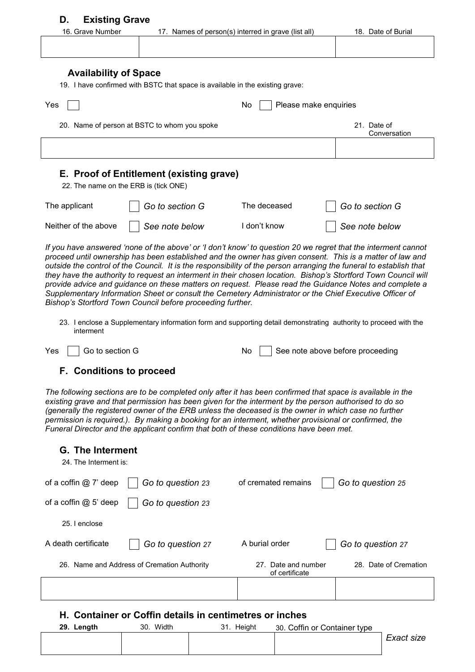|                                                                                                                                                                                                                                                                                                                                                                                                                                                                                                                                                                                                                                                                                                                                                       | 16. Grave Number                                                                  | 17. Names of person(s) interred in grave (list all) | 18. Date of Burial                                                                                               |
|-------------------------------------------------------------------------------------------------------------------------------------------------------------------------------------------------------------------------------------------------------------------------------------------------------------------------------------------------------------------------------------------------------------------------------------------------------------------------------------------------------------------------------------------------------------------------------------------------------------------------------------------------------------------------------------------------------------------------------------------------------|-----------------------------------------------------------------------------------|-----------------------------------------------------|------------------------------------------------------------------------------------------------------------------|
|                                                                                                                                                                                                                                                                                                                                                                                                                                                                                                                                                                                                                                                                                                                                                       |                                                                                   |                                                     |                                                                                                                  |
| <b>Availability of Space</b>                                                                                                                                                                                                                                                                                                                                                                                                                                                                                                                                                                                                                                                                                                                          | 19. I have confirmed with BSTC that space is available in the existing grave:     |                                                     |                                                                                                                  |
| Yes                                                                                                                                                                                                                                                                                                                                                                                                                                                                                                                                                                                                                                                                                                                                                   |                                                                                   | Please make enquiries<br>No                         |                                                                                                                  |
|                                                                                                                                                                                                                                                                                                                                                                                                                                                                                                                                                                                                                                                                                                                                                       | 20. Name of person at BSTC to whom you spoke                                      |                                                     | 21. Date of<br>Conversation                                                                                      |
|                                                                                                                                                                                                                                                                                                                                                                                                                                                                                                                                                                                                                                                                                                                                                       |                                                                                   |                                                     |                                                                                                                  |
|                                                                                                                                                                                                                                                                                                                                                                                                                                                                                                                                                                                                                                                                                                                                                       | E. Proof of Entitlement (existing grave)<br>22. The name on the ERB is (tick ONE) |                                                     |                                                                                                                  |
| The applicant                                                                                                                                                                                                                                                                                                                                                                                                                                                                                                                                                                                                                                                                                                                                         | Go to section G                                                                   | The deceased                                        | Go to section G                                                                                                  |
| Neither of the above                                                                                                                                                                                                                                                                                                                                                                                                                                                                                                                                                                                                                                                                                                                                  | See note below                                                                    | I don't know                                        | See note below                                                                                                   |
| If you have answered 'none of the above' or 'I don't know' to question 20 we regret that the interment cannot<br>proceed until ownership has been established and the owner has given consent. This is a matter of law and<br>outside the control of the Council. It is the responsibility of the person arranging the funeral to establish that<br>they have the authority to request an interment in their chosen location. Bishop's Stortford Town Council will<br>provide advice and guidance on these matters on request. Please read the Guidance Notes and complete a<br>Supplementary Information Sheet or consult the Cemetery Administrator or the Chief Executive Officer of<br>Bishop's Stortford Town Council before proceeding further. |                                                                                   |                                                     |                                                                                                                  |
| interment                                                                                                                                                                                                                                                                                                                                                                                                                                                                                                                                                                                                                                                                                                                                             |                                                                                   |                                                     | 23. I enclose a Supplementary information form and supporting detail demonstrating authority to proceed with the |
| Go to section G<br>Yes                                                                                                                                                                                                                                                                                                                                                                                                                                                                                                                                                                                                                                                                                                                                |                                                                                   | Νo                                                  | See note above before proceeding                                                                                 |
| F. Conditions to proceed                                                                                                                                                                                                                                                                                                                                                                                                                                                                                                                                                                                                                                                                                                                              |                                                                                   |                                                     |                                                                                                                  |
| The following sections are to be completed only after it has been confirmed that space is available in the<br>existing grave and that permission has been given for the interment by the person authorised to do so<br>(generally the registered owner of the ERB unless the deceased is the owner in which case no further<br>permission is required.). By making a booking for an interment, whether provisional or confirmed, the<br>Funeral Director and the applicant confirm that both of these conditions have been met.                                                                                                                                                                                                                       |                                                                                   |                                                     |                                                                                                                  |
|                                                                                                                                                                                                                                                                                                                                                                                                                                                                                                                                                                                                                                                                                                                                                       |                                                                                   |                                                     |                                                                                                                  |
| <b>G.</b> The Interment<br>24. The Interment is:                                                                                                                                                                                                                                                                                                                                                                                                                                                                                                                                                                                                                                                                                                      |                                                                                   |                                                     |                                                                                                                  |
|                                                                                                                                                                                                                                                                                                                                                                                                                                                                                                                                                                                                                                                                                                                                                       | Go to question 23                                                                 | of cremated remains                                 | Go to question 25                                                                                                |
|                                                                                                                                                                                                                                                                                                                                                                                                                                                                                                                                                                                                                                                                                                                                                       | Go to question 23                                                                 |                                                     |                                                                                                                  |
| 25. I enclose                                                                                                                                                                                                                                                                                                                                                                                                                                                                                                                                                                                                                                                                                                                                         |                                                                                   |                                                     |                                                                                                                  |
|                                                                                                                                                                                                                                                                                                                                                                                                                                                                                                                                                                                                                                                                                                                                                       | Go to question 27                                                                 | A burial order                                      | Go to question 27                                                                                                |
| of a coffin $@7'$ deep<br>of a coffin $@$ 5' deep<br>A death certificate                                                                                                                                                                                                                                                                                                                                                                                                                                                                                                                                                                                                                                                                              | 26. Name and Address of Cremation Authority                                       | 27. Date and number<br>of certificate               | 28. Date of Cremation                                                                                            |

| 29. Length | 30. Width | 31. Height | 30. Coffin or Container type |            |
|------------|-----------|------------|------------------------------|------------|
|            |           |            |                              | Exact size |
|            |           |            |                              |            |